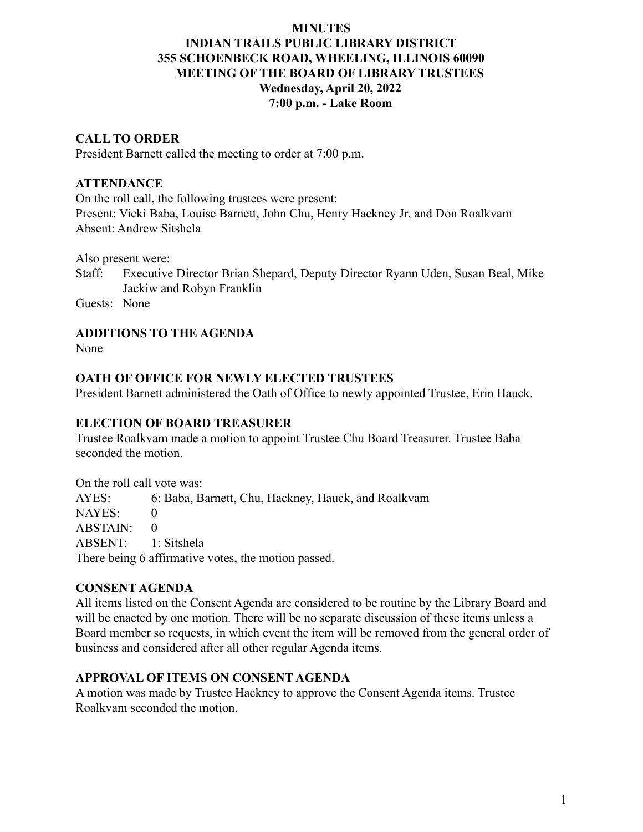# **MINUTES**

# **INDIAN TRAILS PUBLIC LIBRARY DISTRICT 355 SCHOENBECK ROAD, WHEELING, ILLINOIS 60090 MEETING OF THE BOARD OF LIBRARY TRUSTEES Wednesday, April 20, 2022 7:00 p.m. - Lake Room**

## **CALL TO ORDER**

President Barnett called the meeting to order at 7:00 p.m.

#### **ATTENDANCE**

On the roll call, the following trustees were present: Present: Vicki Baba, Louise Barnett, John Chu, Henry Hackney Jr, and Don Roalkvam Absent: Andrew Sitshela

Also present were:

Staff: Executive Director Brian Shepard, Deputy Director Ryann Uden, Susan Beal, Mike Jackiw and Robyn Franklin

Guests: None

#### **ADDITIONS TO THE AGENDA**

None

#### **OATH OF OFFICE FOR NEWLY ELECTED TRUSTEES**

President Barnett administered the Oath of Office to newly appointed Trustee, Erin Hauck.

#### **ELECTION OF BOARD TREASURER**

Trustee Roalkvam made a motion to appoint Trustee Chu Board Treasurer. Trustee Baba seconded the motion.

On the roll call vote was: AYES: 6: Baba, Barnett, Chu, Hackney, Hauck, and Roalkvam NAYES: 0  $ABSTAIN: 0$ ABSENT: 1: Sitshela There being 6 affirmative votes, the motion passed.

## **CONSENT AGENDA**

All items listed on the Consent Agenda are considered to be routine by the Library Board and will be enacted by one motion. There will be no separate discussion of these items unless a Board member so requests, in which event the item will be removed from the general order of business and considered after all other regular Agenda items.

## **APPROVAL OF ITEMS ON CONSENT AGENDA**

A motion was made by Trustee Hackney to approve the Consent Agenda items. Trustee Roalkvam seconded the motion.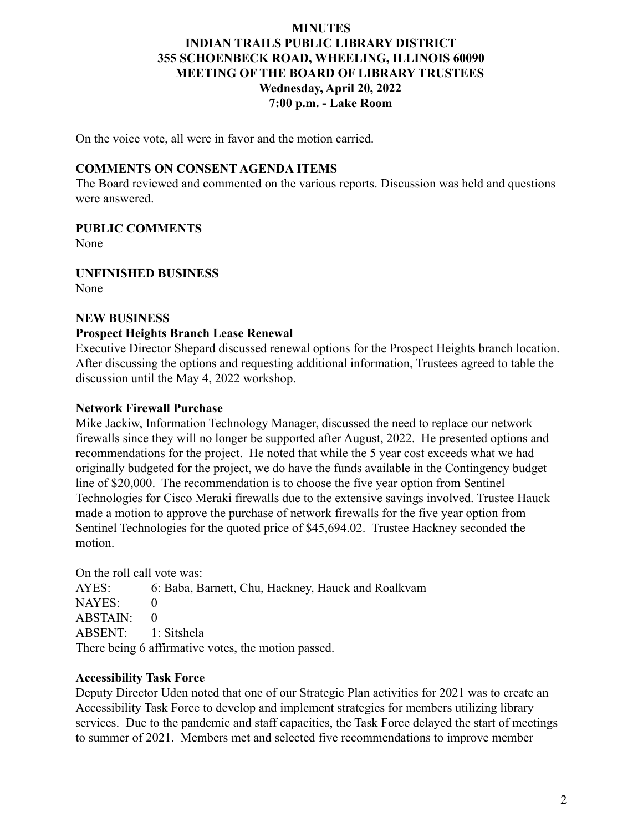# **MINUTES INDIAN TRAILS PUBLIC LIBRARY DISTRICT 355 SCHOENBECK ROAD, WHEELING, ILLINOIS 60090 MEETING OF THE BOARD OF LIBRARY TRUSTEES Wednesday, April 20, 2022 7:00 p.m. - Lake Room**

On the voice vote, all were in favor and the motion carried.

## **COMMENTS ON CONSENT AGENDA ITEMS**

The Board reviewed and commented on the various reports. Discussion was held and questions were answered.

## **PUBLIC COMMENTS**

None

## **UNFINISHED BUSINESS**

None

#### **NEW BUSINESS**

## **Prospect Heights Branch Lease Renewal**

Executive Director Shepard discussed renewal options for the Prospect Heights branch location. After discussing the options and requesting additional information, Trustees agreed to table the discussion until the May 4, 2022 workshop.

## **Network Firewall Purchase**

Mike Jackiw, Information Technology Manager, discussed the need to replace our network firewalls since they will no longer be supported after August, 2022. He presented options and recommendations for the project. He noted that while the 5 year cost exceeds what we had originally budgeted for the project, we do have the funds available in the Contingency budget line of \$20,000. The recommendation is to choose the five year option from Sentinel Technologies for Cisco Meraki firewalls due to the extensive savings involved. Trustee Hauck made a motion to approve the purchase of network firewalls for the five year option from Sentinel Technologies for the quoted price of \$45,694.02. Trustee Hackney seconded the motion.

On the roll call vote was:

AYES: 6: Baba, Barnett, Chu, Hackney, Hauck and Roalkvam NAYES: 0 ABSTAIN: 0 ABSENT: 1: Sitshela There being 6 affirmative votes, the motion passed.

## **Accessibility Task Force**

Deputy Director Uden noted that one of our Strategic Plan activities for 2021 was to create an Accessibility Task Force to develop and implement strategies for members utilizing library services. Due to the pandemic and staff capacities, the Task Force delayed the start of meetings to summer of 2021. Members met and selected five recommendations to improve member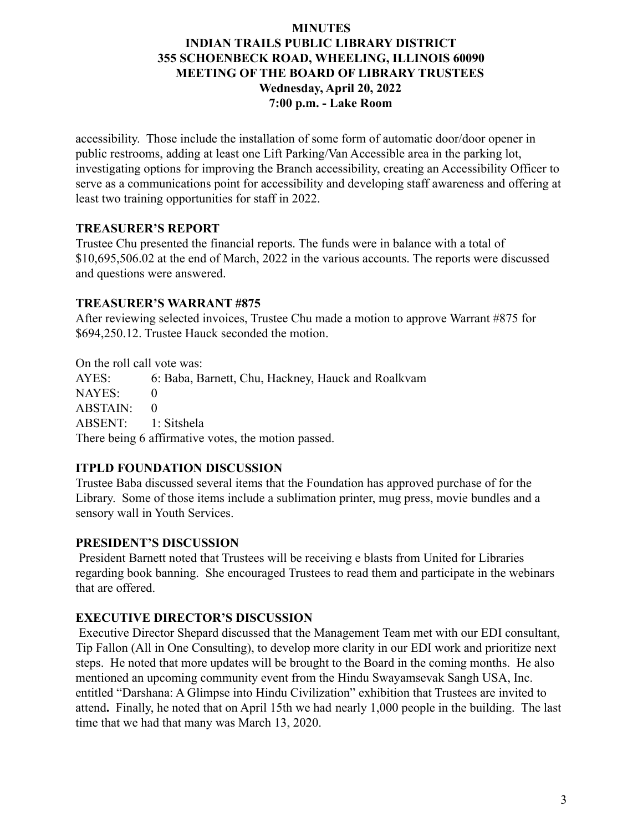# **MINUTES INDIAN TRAILS PUBLIC LIBRARY DISTRICT 355 SCHOENBECK ROAD, WHEELING, ILLINOIS 60090 MEETING OF THE BOARD OF LIBRARY TRUSTEES Wednesday, April 20, 2022 7:00 p.m. - Lake Room**

accessibility. Those include the installation of some form of automatic door/door opener in public restrooms, adding at least one Lift Parking/Van Accessible area in the parking lot, investigating options for improving the Branch accessibility, creating an Accessibility Officer to serve as a communications point for accessibility and developing staff awareness and offering at least two training opportunities for staff in 2022.

# **TREASURER'S REPORT**

Trustee Chu presented the financial reports. The funds were in balance with a total of \$10,695,506.02 at the end of March, 2022 in the various accounts. The reports were discussed and questions were answered.

# **TREASURER'S WARRANT #875**

After reviewing selected invoices, Trustee Chu made a motion to approve Warrant #875 for \$694,250.12. Trustee Hauck seconded the motion.

On the roll call vote was: AYES: 6: Baba, Barnett, Chu, Hackney, Hauck and Roalkvam NAYES: 0  $ABSTAIN: 0$ ABSENT: 1: Sitshela There being 6 affirmative votes, the motion passed.

# **ITPLD FOUNDATION DISCUSSION**

Trustee Baba discussed several items that the Foundation has approved purchase of for the Library. Some of those items include a sublimation printer, mug press, movie bundles and a sensory wall in Youth Services.

# **PRESIDENT'S DISCUSSION**

President Barnett noted that Trustees will be receiving e blasts from United for Libraries regarding book banning. She encouraged Trustees to read them and participate in the webinars that are offered.

# **EXECUTIVE DIRECTOR'S DISCUSSION**

Executive Director Shepard discussed that the Management Team met with our EDI consultant, Tip Fallon (All in One Consulting), to develop more clarity in our EDI work and prioritize next steps. He noted that more updates will be brought to the Board in the coming months. He also mentioned an upcoming community event from the Hindu Swayamsevak Sangh USA, Inc. entitled "Darshana: A Glimpse into Hindu Civilization" exhibition that Trustees are invited to attend**.** Finally, he noted that on April 15th we had nearly 1,000 people in the building. The last time that we had that many was March 13, 2020.